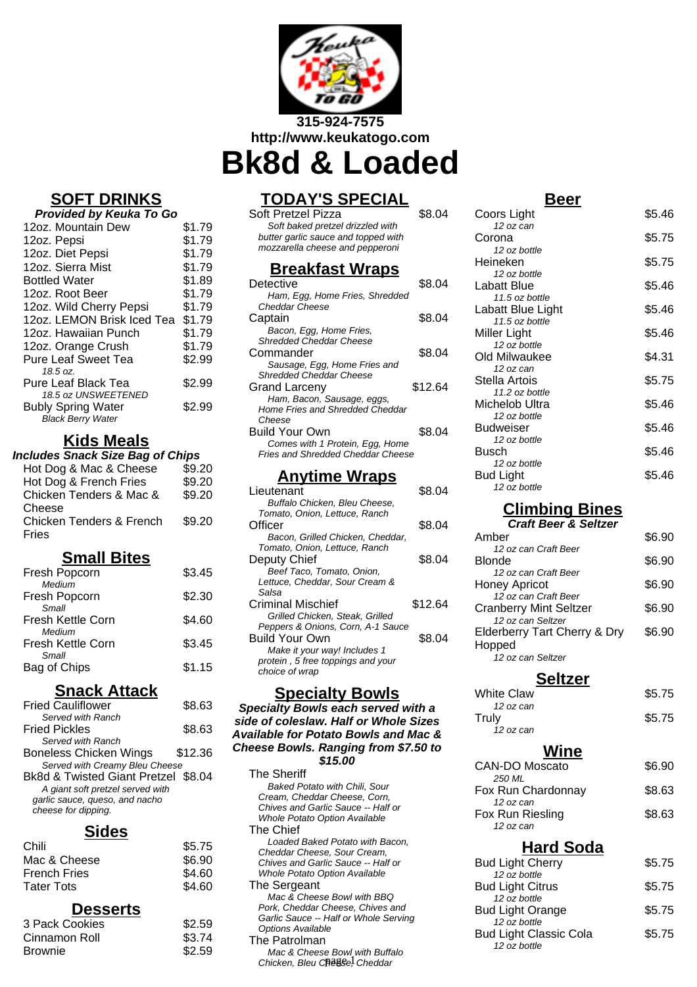

**Bk8d & Loaded**

# **SOFT DRINKS**

| Provided by Keuka To Go                                                      |        |
|------------------------------------------------------------------------------|--------|
| 12oz. Mountain Dew                                                           | \$1.79 |
| 12oz. Pepsi                                                                  | \$1.79 |
| 12oz. Diet Pepsi                                                             | \$1.79 |
| 12oz. Sierra Mist                                                            | \$1.79 |
| <b>Bottled Water</b>                                                         | \$1.89 |
| 12oz. Root Beer                                                              | \$1.79 |
| 12oz. Wild Cherry Pepsi                                                      | \$1.79 |
| 12oz. LEMON Brisk Iced Tea                                                   | \$1.79 |
| 12oz. Hawaiian Punch                                                         | \$1.79 |
| 12oz. Orange Crush                                                           | \$1.79 |
| <b>Pure Leaf Sweet Tea</b>                                                   | \$2.99 |
| 18.5 oz.                                                                     |        |
| Pure Leaf Black Tea                                                          | \$2.99 |
| 18.5 oz UNSWEETENED<br><b>Bubly Spring Water</b><br><b>Black Berry Water</b> | \$2.99 |

# **Kids Meals**

| <b>Includes Snack Size Bag of Chips</b> |        |
|-----------------------------------------|--------|
| Hot Dog & Mac & Cheese                  | \$9.20 |
| Hot Dog & French Fries                  | \$9.20 |

| Chicken Tenders & Mac &             | \$9.20 |
|-------------------------------------|--------|
| Cheese                              |        |
| <b>Chicken Tenders &amp; French</b> | \$9.20 |
| Fries                               |        |
|                                     |        |

## **Small Bites**

| Fresh Popcorn                               | \$3.45 |
|---------------------------------------------|--------|
| Medium<br>Fresh Popcorn                     | \$2.30 |
| Small<br>Fresh Kettle Corn                  | \$4.60 |
| Medium<br><b>Fresh Kettle Corn</b><br>Small | \$3.45 |
| Bag of Chips                                | \$1.15 |

# **Snack Attack**

| <b>Fried Cauliflower</b>            | \$8.63  |
|-------------------------------------|---------|
| Served with Ranch                   |         |
| <b>Fried Pickles</b>                | \$8.63  |
| Served with Ranch                   |         |
| Boneless Chicken Wings              | \$12.36 |
| Served with Creamy Bleu Cheese      |         |
| Bk8d & Twisted Giant Pretzel \$8.04 |         |
| A giant soft pretzel served with    |         |
| garlic sauce, queso, and nacho      |         |
| cheese for dipping.                 |         |
|                                     |         |

### **Sides**

| Chili               | \$5.75 |
|---------------------|--------|
| Mac & Cheese        | \$6.90 |
| <b>French Fries</b> | \$4.60 |
| <b>Tater Tots</b>   | \$4.60 |
|                     |        |

## **Desserts**

| 3 Pack Cookies | \$2.59 |
|----------------|--------|
| Cinnamon Roll  | \$3.74 |
| <b>Brownie</b> | \$2.59 |

# **TODAY'S SPECIAL**

Soft Pretzel Pizza \$8.04 Soft baked pretzel drizzled with butter garlic sauce and topped with mozzarella cheese and pepperoni

## **Breakfast Wraps**

| Detective                                | \$8.04  |
|------------------------------------------|---------|
| Ham, Egg, Home Fries, Shredded           |         |
| Cheddar Cheese                           |         |
| Captain                                  | \$8.04  |
| Bacon, Egg, Home Fries,                  |         |
| Shredded Cheddar Cheese                  |         |
| Commander                                | \$8.04  |
| Sausage, Egg, Home Fries and             |         |
| Shredded Cheddar Cheese                  |         |
| Grand Larceny                            | \$12.64 |
| Ham, Bacon, Sausage, eggs,               |         |
| Home Fries and Shredded Cheddar          |         |
| Cheese                                   |         |
| Build Your Own                           | \$8.04  |
| Comes with 1 Protein, Egg, Home          |         |
| <b>Fries and Shredded Cheddar Cheese</b> |         |

## **Anytime Wraps**

| Lieutenant                        | \$8.04  |
|-----------------------------------|---------|
| Buffalo Chicken, Bleu Cheese,     |         |
| Tomato, Onion, Lettuce, Ranch     |         |
| Officer                           | \$8.04  |
| Bacon, Grilled Chicken, Cheddar,  |         |
| Tomato, Onion, Lettuce, Ranch     |         |
| Deputy Chief                      | \$8.04  |
| Beef Taco, Tomato, Onion,         |         |
| Lettuce, Cheddar, Sour Cream &    |         |
| Salsa                             |         |
| Criminal Mischief                 | \$12.64 |
| Grilled Chicken, Steak, Grilled   |         |
| Peppers & Onions, Corn, A-1 Sauce |         |
| <b>Build Your Own</b>             | \$8.04  |
| Make it your way! Includes 1      |         |
| protein, 5 free toppings and your |         |
| choice of wrap                    |         |
|                                   |         |

## **Specialty Bowls**

#### **Specialty Bowls each served with a side of coleslaw. Half or Whole Sizes Available for Potato Bowls and Mac & Cheese Bowls. Ranging from \$7.50 to \$15.00**

The Sheriff Baked Potato with Chili, Sour Cream, Cheddar Cheese, Corn, Chives and Garlic Sauce -- Half or Whole Potato Option Available The Chief Loaded Baked Potato with Bacon, Cheddar Cheese, Sour Cream, Chives and Garlic Sauce -- Half or Whole Potato Option Available The Sergeant Mac & Cheese Bowl with BBQ Pork, Cheddar Cheese, Chives and Garlic Sauce -- Half or Whole Serving Options Available The Patrolman Mac & Cheese Bowl with Buffalo Chicken, Bleu Cheese, Cheddar

| Beer                     |        |
|--------------------------|--------|
| Coors Light              | \$5.46 |
| 12 oz can                |        |
| Corona                   | \$5.75 |
| 12 oz bottle<br>Heineken |        |
|                          | \$5.75 |
| 12 oz bottle             |        |
| Labatt Blue              | \$5.46 |
| 11.5 oz bottle           |        |
| Labatt Blue Light        | \$5.46 |
| 11.5 oz bottle           |        |
| Miller Light             | \$5.46 |
| 12 oz bottle             |        |
| Old Milwaukee            | \$4.31 |
| 12 oz can                |        |
| Stella Artois            | \$5.75 |
| 11.2 oz bottle           |        |
| Michelob Ultra           | \$5.46 |
| 12 oz bottle             |        |
| <b>Budweiser</b>         | \$5.46 |
| 12 oz bottle             |        |
| Busch                    | \$5.46 |
| 12 oz bottle             |        |
| Bud Light                | \$5.46 |
| 12 oz bottle             |        |

# **Climbing Bines**

**Craft Beer & Seltzer**

| Amher                         | \$6.90 |
|-------------------------------|--------|
| 12 oz can Craft Beer          |        |
| Blonde                        | \$6.90 |
| 12 oz can Craft Beer          |        |
| Honey Apricot                 | \$6.90 |
| 12 oz can Craft Beer          |        |
| <b>Cranberry Mint Seltzer</b> | \$6.90 |
| 12 oz can Seltzer             |        |
| Elderberry Tart Cherry & Dry  | \$6.90 |
| Hopped                        |        |
| 12 oz can Seltzer             |        |

### **Seltzer**

| <b>White Claw</b> | \$5.75 |
|-------------------|--------|
| 12 oz can         |        |
| Truly             | \$5.75 |
| 12 oz can         |        |

## **Wine**

| CAN-DO Moscato     | \$6.90 |
|--------------------|--------|
| 250 ML             |        |
| Fox Run Chardonnay | \$8.63 |
| 12 oz can          |        |
| Fox Run Riesling   | \$8.63 |
| 12 oz can          |        |

### **Hard Soda**

| <b>Bud Light Cherry</b>       | \$5.75 |
|-------------------------------|--------|
| 12 oz bottle                  |        |
| <b>Bud Light Citrus</b>       | \$5.75 |
| 12 oz bottle                  |        |
| <b>Bud Light Orange</b>       | \$5.75 |
| 12 oz bottle                  |        |
| <b>Bud Light Classic Cola</b> | \$5.75 |
| 12 oz bottle                  |        |